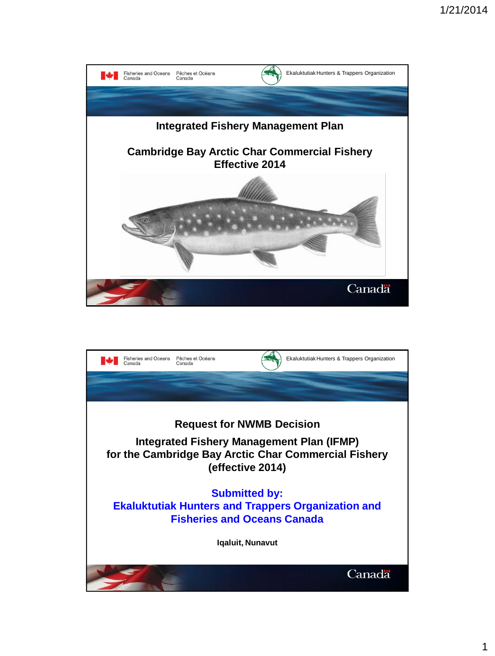

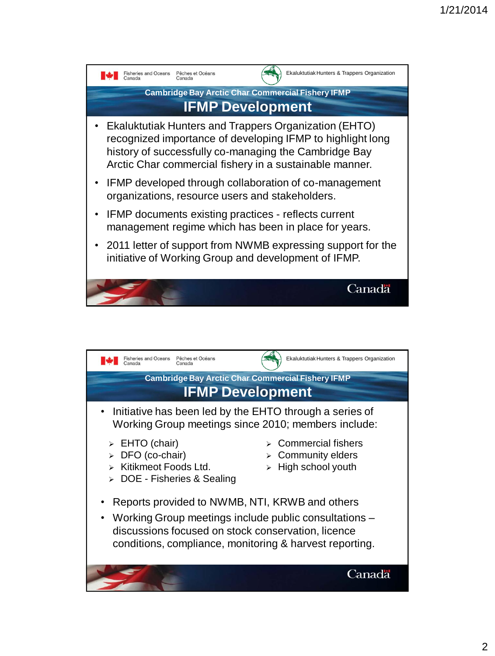

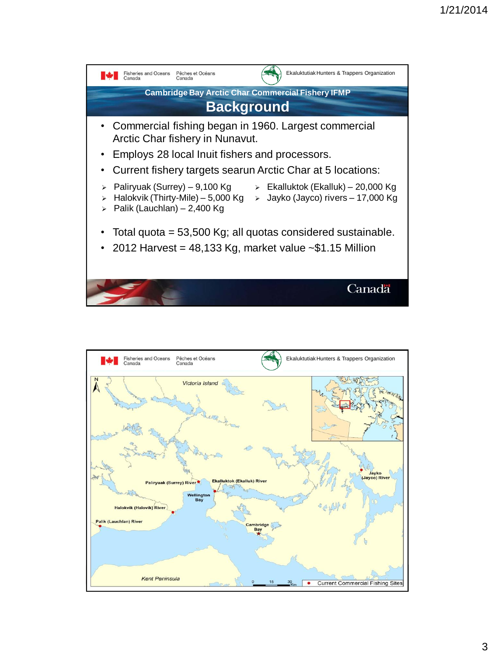

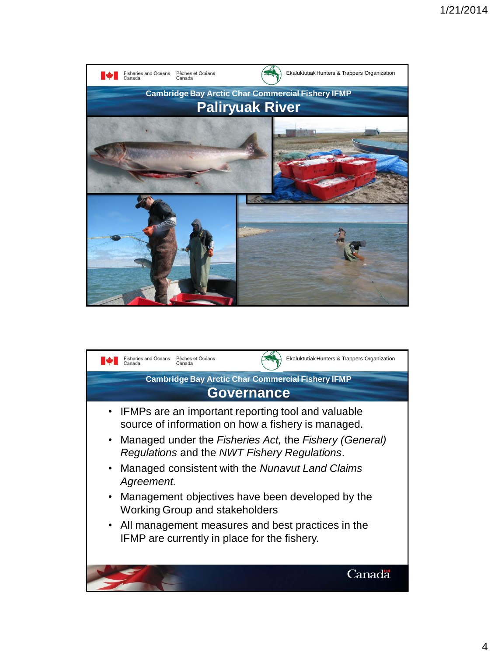

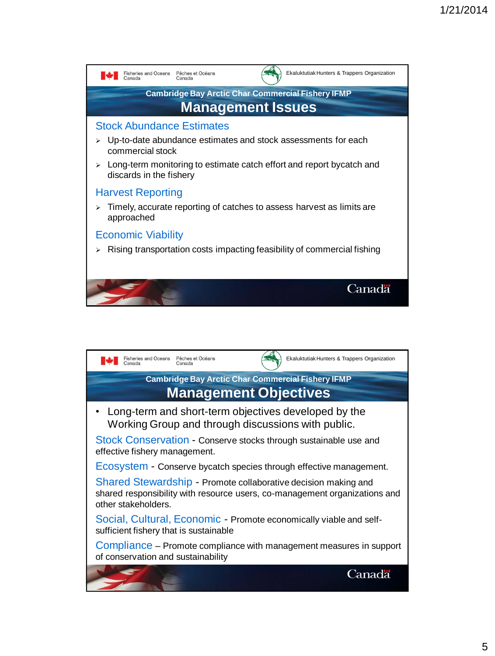

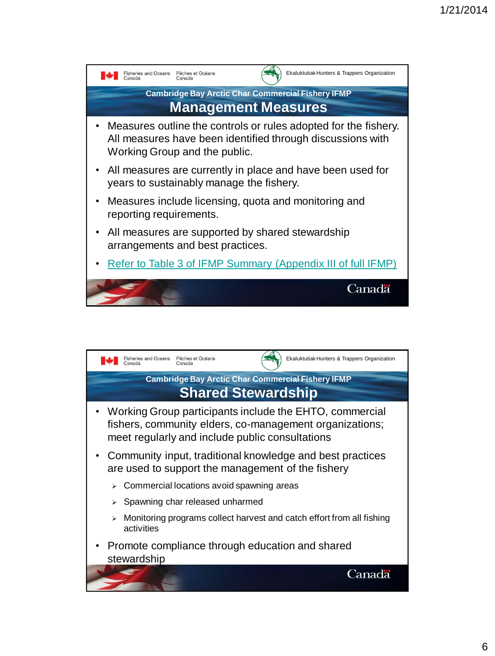

<span id="page-5-0"></span>